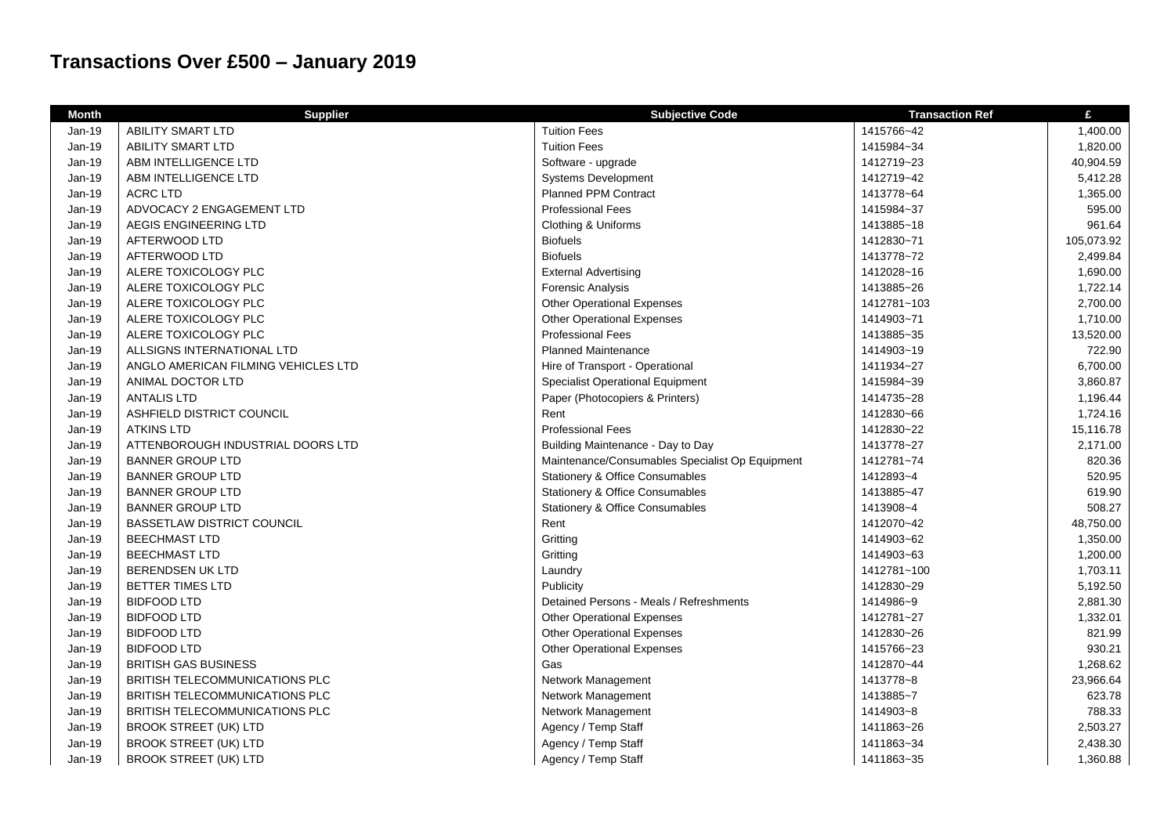## **Transactions Over £500 – January 2019**

| <b>Month</b>  | <b>Supplier</b>                       | <b>Subjective Code</b>                          | <b>Transaction Ref</b> | £          |
|---------------|---------------------------------------|-------------------------------------------------|------------------------|------------|
| Jan-19        | <b>ABILITY SMART LTD</b>              | <b>Tuition Fees</b>                             | 1415766~42             | 1,400.00   |
| Jan-19        | <b>ABILITY SMART LTD</b>              | <b>Tuition Fees</b>                             | 1415984~34             | 1,820.00   |
| Jan-19        | ABM INTELLIGENCE LTD                  | Software - upgrade                              | 1412719~23             | 40,904.59  |
| Jan-19        | ABM INTELLIGENCE LTD                  | <b>Systems Development</b>                      | 1412719~42             | 5,412.28   |
| Jan-19        | <b>ACRC LTD</b>                       | Planned PPM Contract                            | 1413778~64             | 1,365.00   |
| Jan-19        | ADVOCACY 2 ENGAGEMENT LTD             | <b>Professional Fees</b>                        | 1415984~37             | 595.00     |
| Jan-19        | AEGIS ENGINEERING LTD                 | Clothing & Uniforms                             | 1413885~18             | 961.64     |
| Jan-19        | AFTERWOOD LTD                         | <b>Biofuels</b>                                 | 1412830~71             | 105,073.92 |
| Jan-19        | AFTERWOOD LTD                         | <b>Biofuels</b>                                 | 1413778~72             | 2,499.84   |
| Jan-19        | ALERE TOXICOLOGY PLC                  | <b>External Advertising</b>                     | 1412028~16             | 1,690.00   |
| Jan-19        | ALERE TOXICOLOGY PLC                  | <b>Forensic Analysis</b>                        | 1413885~26             | 1,722.14   |
| <b>Jan-19</b> | ALERE TOXICOLOGY PLC                  | <b>Other Operational Expenses</b>               | 1412781~103            | 2,700.00   |
| Jan-19        | ALERE TOXICOLOGY PLC                  | <b>Other Operational Expenses</b>               | 1414903~71             | 1,710.00   |
| Jan-19        | ALERE TOXICOLOGY PLC                  | <b>Professional Fees</b>                        | 1413885~35             | 13,520.00  |
| Jan-19        | ALLSIGNS INTERNATIONAL LTD            | <b>Planned Maintenance</b>                      | 1414903~19             | 722.90     |
| Jan-19        | ANGLO AMERICAN FILMING VEHICLES LTD   | Hire of Transport - Operational                 | 1411934~27             | 6,700.00   |
| Jan-19        | ANIMAL DOCTOR LTD                     | <b>Specialist Operational Equipment</b>         | 1415984~39             | 3,860.87   |
| Jan-19        | <b>ANTALIS LTD</b>                    | Paper (Photocopiers & Printers)                 | 1414735~28             | 1,196.44   |
| Jan-19        | ASHFIELD DISTRICT COUNCIL             | Rent                                            | 1412830~66             | 1,724.16   |
| Jan-19        | <b>ATKINS LTD</b>                     | <b>Professional Fees</b>                        | 1412830~22             | 15,116.78  |
| Jan-19        | ATTENBOROUGH INDUSTRIAL DOORS LTD     | Building Maintenance - Day to Day               | 1413778~27             | 2,171.00   |
| Jan-19        | <b>BANNER GROUP LTD</b>               | Maintenance/Consumables Specialist Op Equipment | 1412781~74             | 820.36     |
| Jan-19        | <b>BANNER GROUP LTD</b>               | <b>Stationery &amp; Office Consumables</b>      | 1412893~4              | 520.95     |
| <b>Jan-19</b> | <b>BANNER GROUP LTD</b>               | Stationery & Office Consumables                 | 1413885~47             | 619.90     |
| Jan-19        | <b>BANNER GROUP LTD</b>               | <b>Stationery &amp; Office Consumables</b>      | 1413908~4              | 508.27     |
| Jan-19        | <b>BASSETLAW DISTRICT COUNCIL</b>     | Rent                                            | 1412070~42             | 48,750.00  |
| Jan-19        | <b>BEECHMAST LTD</b>                  | Gritting                                        | 1414903~62             | 1,350.00   |
| Jan-19        | <b>BEECHMAST LTD</b>                  | Gritting                                        | 1414903~63             | 1,200.00   |
| Jan-19        | BERENDSEN UK LTD                      | Laundry                                         | 1412781~100            | 1,703.11   |
| Jan-19        | BETTER TIMES LTD                      | Publicity                                       | 1412830~29             | 5,192.50   |
| Jan-19        | <b>BIDFOOD LTD</b>                    | Detained Persons - Meals / Refreshments         | 1414986~9              | 2,881.30   |
| Jan-19        | <b>BIDFOOD LTD</b>                    | <b>Other Operational Expenses</b>               | 1412781~27             | 1,332.01   |
| Jan-19        | <b>BIDFOOD LTD</b>                    | <b>Other Operational Expenses</b>               | 1412830~26             | 821.99     |
| Jan-19        | <b>BIDFOOD LTD</b>                    | <b>Other Operational Expenses</b>               | 1415766~23             | 930.21     |
| Jan-19        | BRITISH GAS BUSINESS                  | Gas                                             | 1412870~44             | 1,268.62   |
| Jan-19        | <b>BRITISH TELECOMMUNICATIONS PLC</b> | Network Management                              | 1413778~8              | 23,966.64  |
| Jan-19        | <b>BRITISH TELECOMMUNICATIONS PLC</b> | Network Management                              | 1413885~7              | 623.78     |
| <b>Jan-19</b> | BRITISH TELECOMMUNICATIONS PLC        | Network Management                              | 1414903~8              | 788.33     |
| Jan-19        | <b>BROOK STREET (UK) LTD</b>          | Agency / Temp Staff                             | 1411863~26             | 2,503.27   |
| Jan-19        | <b>BROOK STREET (UK) LTD</b>          | Agency / Temp Staff                             | 1411863~34             | 2,438.30   |
| Jan-19        | <b>BROOK STREET (UK) LTD</b>          | Agency / Temp Staff                             | 1411863~35             | 1,360.88   |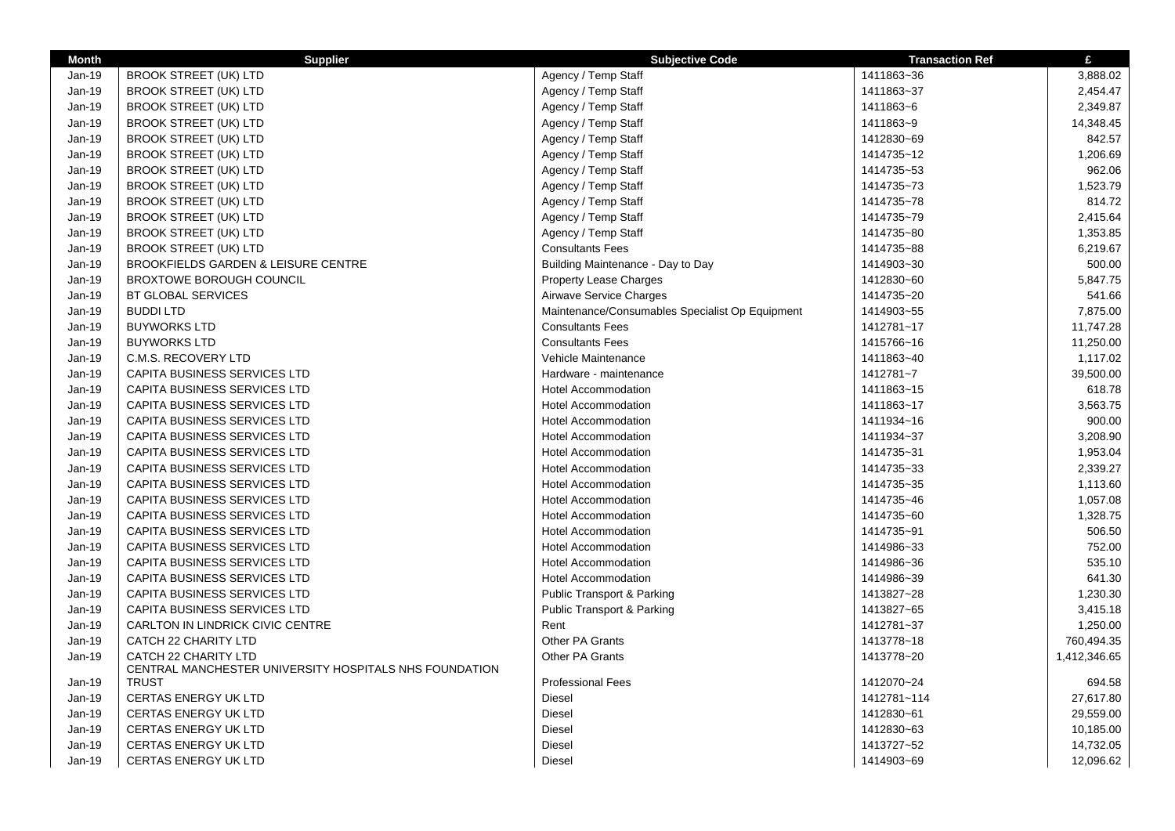| <b>Month</b> | <b>Supplier</b>                                                                       | <b>Subjective Code</b>                          | <b>Transaction Ref</b> | £            |
|--------------|---------------------------------------------------------------------------------------|-------------------------------------------------|------------------------|--------------|
| Jan-19       | <b>BROOK STREET (UK) LTD</b>                                                          | Agency / Temp Staff                             | 1411863~36             | 3,888.02     |
| $Jan-19$     | <b>BROOK STREET (UK) LTD</b>                                                          | Agency / Temp Staff                             | 1411863~37             | 2,454.47     |
| $Jan-19$     | <b>BROOK STREET (UK) LTD</b>                                                          | Agency / Temp Staff                             | 1411863~6              | 2,349.87     |
| Jan-19       | <b>BROOK STREET (UK) LTD</b>                                                          | Agency / Temp Staff                             | 1411863~9              | 14,348.45    |
| Jan-19       | <b>BROOK STREET (UK) LTD</b>                                                          | Agency / Temp Staff                             | 1412830~69             | 842.57       |
| Jan-19       | <b>BROOK STREET (UK) LTD</b>                                                          | Agency / Temp Staff                             | 1414735~12             | 1,206.69     |
| Jan-19       | <b>BROOK STREET (UK) LTD</b>                                                          | Agency / Temp Staff                             | 1414735~53             | 962.06       |
| $Jan-19$     | <b>BROOK STREET (UK) LTD</b>                                                          | Agency / Temp Staff                             | 1414735~73             | 1,523.79     |
| $Jan-19$     | <b>BROOK STREET (UK) LTD</b>                                                          | Agency / Temp Staff                             | 1414735~78             | 814.72       |
| $Jan-19$     | <b>BROOK STREET (UK) LTD</b>                                                          | Agency / Temp Staff                             | 1414735~79             | 2,415.64     |
| Jan-19       | <b>BROOK STREET (UK) LTD</b>                                                          | Agency / Temp Staff                             | 1414735~80             | 1,353.85     |
| $Jan-19$     | <b>BROOK STREET (UK) LTD</b>                                                          | <b>Consultants Fees</b>                         | 1414735~88             | 6,219.67     |
| Jan-19       | <b>BROOKFIELDS GARDEN &amp; LEISURE CENTRE</b>                                        | Building Maintenance - Day to Day               | 1414903~30             | 500.00       |
| Jan-19       | <b>BROXTOWE BOROUGH COUNCIL</b>                                                       | <b>Property Lease Charges</b>                   | 1412830~60             | 5,847.75     |
| Jan-19       | <b>BT GLOBAL SERVICES</b>                                                             | Airwave Service Charges                         | 1414735~20             | 541.66       |
| Jan-19       | <b>BUDDILTD</b>                                                                       | Maintenance/Consumables Specialist Op Equipment | 1414903~55             | 7,875.00     |
| Jan-19       | <b>BUYWORKS LTD</b>                                                                   | <b>Consultants Fees</b>                         | 1412781~17             | 11,747.28    |
| $Jan-19$     | <b>BUYWORKS LTD</b>                                                                   | <b>Consultants Fees</b>                         | 1415766~16             | 11,250.00    |
| Jan-19       | C.M.S. RECOVERY LTD                                                                   | Vehicle Maintenance                             | 1411863~40             | 1,117.02     |
| Jan-19       | CAPITA BUSINESS SERVICES LTD                                                          | Hardware - maintenance                          | 1412781~7              | 39,500.00    |
| Jan-19       | CAPITA BUSINESS SERVICES LTD                                                          | <b>Hotel Accommodation</b>                      | 1411863~15             | 618.78       |
| $Jan-19$     | <b>CAPITA BUSINESS SERVICES LTD</b>                                                   | <b>Hotel Accommodation</b>                      | 1411863~17             | 3,563.75     |
| $Jan-19$     | <b>CAPITA BUSINESS SERVICES LTD</b>                                                   | <b>Hotel Accommodation</b>                      | 1411934~16             | 900.00       |
| Jan-19       | CAPITA BUSINESS SERVICES LTD                                                          | <b>Hotel Accommodation</b>                      | 1411934~37             | 3,208.90     |
| $Jan-19$     | <b>CAPITA BUSINESS SERVICES LTD</b>                                                   | <b>Hotel Accommodation</b>                      | 1414735~31             | 1,953.04     |
| Jan-19       | <b>CAPITA BUSINESS SERVICES LTD</b>                                                   | <b>Hotel Accommodation</b>                      | 1414735~33             | 2,339.27     |
| Jan-19       | CAPITA BUSINESS SERVICES LTD                                                          | <b>Hotel Accommodation</b>                      | 1414735~35             | 1,113.60     |
| $Jan-19$     | <b>CAPITA BUSINESS SERVICES LTD</b>                                                   | <b>Hotel Accommodation</b>                      | 1414735~46             | 1,057.08     |
| Jan-19       | CAPITA BUSINESS SERVICES LTD                                                          | <b>Hotel Accommodation</b>                      | 1414735~60             | 1,328.75     |
| Jan-19       | <b>CAPITA BUSINESS SERVICES LTD</b>                                                   | <b>Hotel Accommodation</b>                      | 1414735~91             | 506.50       |
| $Jan-19$     | CAPITA BUSINESS SERVICES LTD                                                          | <b>Hotel Accommodation</b>                      | 1414986~33             | 752.00       |
| $Jan-19$     | CAPITA BUSINESS SERVICES LTD                                                          | <b>Hotel Accommodation</b>                      | 1414986~36             | 535.10       |
| Jan-19       | CAPITA BUSINESS SERVICES LTD                                                          | <b>Hotel Accommodation</b>                      | 1414986~39             | 641.30       |
| $Jan-19$     | <b>CAPITA BUSINESS SERVICES LTD</b>                                                   | <b>Public Transport &amp; Parking</b>           | 1413827~28             | 1,230.30     |
| Jan-19       | CAPITA BUSINESS SERVICES LTD                                                          | Public Transport & Parking                      | 1413827~65             | 3,415.18     |
| Jan-19       | <b>CARLTON IN LINDRICK CIVIC CENTRE</b>                                               | Rent                                            | 1412781~37             | 1,250.00     |
| $Jan-19$     | CATCH 22 CHARITY LTD                                                                  | Other PA Grants                                 | 1413778~18             | 760,494.35   |
| Jan-19       | <b>CATCH 22 CHARITY LTD</b><br>CENTRAL MANCHESTER UNIVERSITY HOSPITALS NHS FOUNDATION | Other PA Grants                                 | 1413778~20             | 1,412,346.65 |
| Jan-19       | <b>TRUST</b>                                                                          | <b>Professional Fees</b>                        | 1412070~24             | 694.58       |
| Jan-19       | <b>CERTAS ENERGY UK LTD</b>                                                           | Diesel                                          | 1412781~114            | 27,617.80    |
| Jan-19       | <b>CERTAS ENERGY UK LTD</b>                                                           | <b>Diesel</b>                                   | 1412830~61             | 29,559.00    |
| Jan-19       | <b>CERTAS ENERGY UK LTD</b>                                                           | <b>Diesel</b>                                   | 1412830~63             | 10,185.00    |
| Jan-19       | <b>CERTAS ENERGY UK LTD</b>                                                           | <b>Diesel</b>                                   | 1413727~52             | 14,732.05    |
| Jan-19       | <b>CERTAS ENERGY UK LTD</b>                                                           | <b>Diesel</b>                                   | 1414903~69             | 12,096.62    |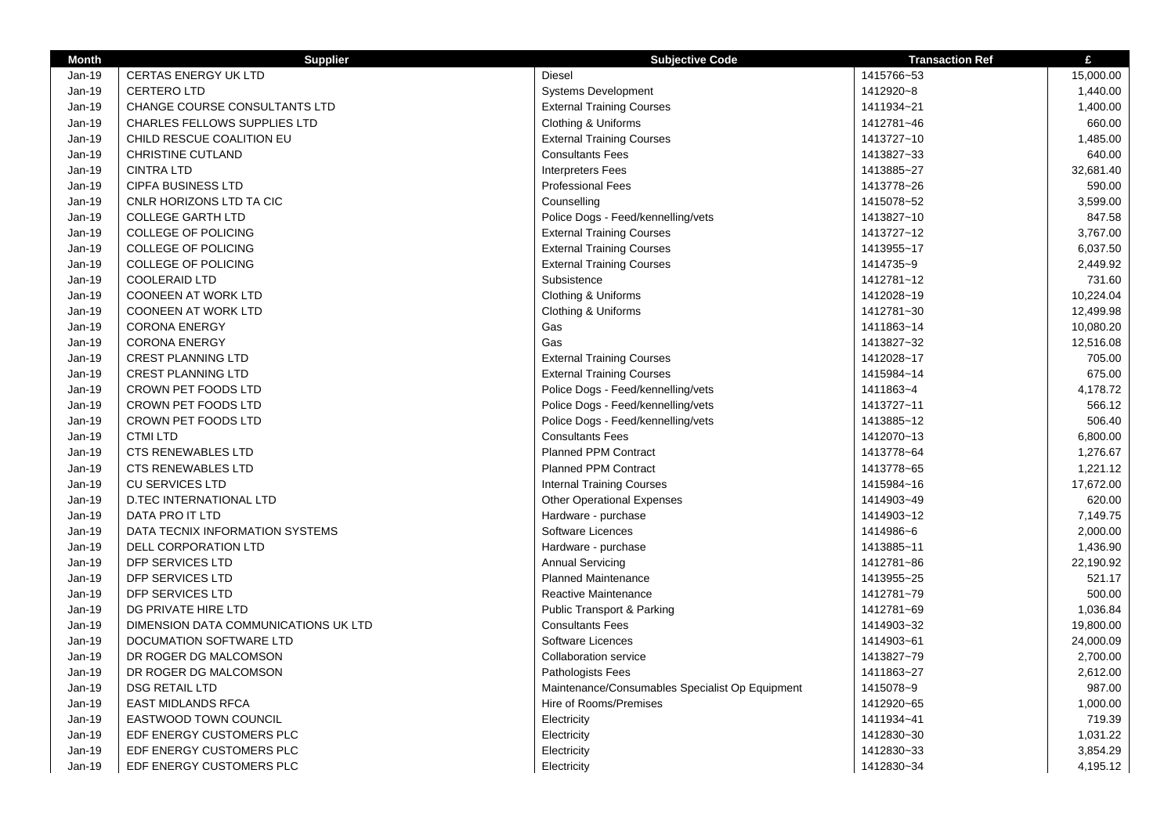| <b>Month</b> | <b>Supplier</b>                      | <b>Subjective Code</b>                          | <b>Transaction Ref</b> | £         |
|--------------|--------------------------------------|-------------------------------------------------|------------------------|-----------|
| Jan-19       | <b>CERTAS ENERGY UK LTD</b>          | <b>Diesel</b>                                   | 1415766~53             | 15,000.00 |
| Jan-19       | <b>CERTERO LTD</b>                   | <b>Systems Development</b>                      | 1412920~8              | 1,440.00  |
| Jan-19       | CHANGE COURSE CONSULTANTS LTD        | <b>External Training Courses</b>                | 1411934~21             | 1,400.00  |
| Jan-19       | <b>CHARLES FELLOWS SUPPLIES LTD</b>  | Clothing & Uniforms                             | 1412781~46             | 660.00    |
| Jan-19       | CHILD RESCUE COALITION EU            | <b>External Training Courses</b>                | 1413727~10             | 1,485.00  |
| Jan-19       | <b>CHRISTINE CUTLAND</b>             | <b>Consultants Fees</b>                         | 1413827~33             | 640.00    |
| Jan-19       | <b>CINTRA LTD</b>                    | <b>Interpreters Fees</b>                        | 1413885~27             | 32,681.40 |
| Jan-19       | <b>CIPFA BUSINESS LTD</b>            | <b>Professional Fees</b>                        | 1413778~26             | 590.00    |
| Jan-19       | CNLR HORIZONS LTD TA CIC             | Counselling                                     | 1415078~52             | 3,599.00  |
| Jan-19       | <b>COLLEGE GARTH LTD</b>             | Police Dogs - Feed/kennelling/vets              | 1413827~10             | 847.58    |
| Jan-19       | COLLEGE OF POLICING                  | <b>External Training Courses</b>                | 1413727~12             | 3,767.00  |
| Jan-19       | <b>COLLEGE OF POLICING</b>           | <b>External Training Courses</b>                | 1413955~17             | 6,037.50  |
| Jan-19       | <b>COLLEGE OF POLICING</b>           | <b>External Training Courses</b>                | 1414735~9              | 2,449.92  |
| Jan-19       | COOLERAID LTD                        | Subsistence                                     | 1412781~12             | 731.60    |
| $Jan-19$     | <b>COONEEN AT WORK LTD</b>           | Clothing & Uniforms                             | 1412028~19             | 10,224.04 |
| Jan-19       | <b>COONEEN AT WORK LTD</b>           | Clothing & Uniforms                             | 1412781~30             | 12,499.98 |
| Jan-19       | <b>CORONA ENERGY</b>                 | Gas                                             | 1411863~14             | 10,080.20 |
| Jan-19       | <b>CORONA ENERGY</b>                 | Gas                                             | 1413827~32             | 12,516.08 |
| Jan-19       | <b>CREST PLANNING LTD</b>            | <b>External Training Courses</b>                | 1412028~17             | 705.00    |
| Jan-19       | <b>CREST PLANNING LTD</b>            | <b>External Training Courses</b>                | 1415984~14             | 675.00    |
| $Jan-19$     | CROWN PET FOODS LTD                  | Police Dogs - Feed/kennelling/vets              | 1411863~4              | 4,178.72  |
| Jan-19       | CROWN PET FOODS LTD                  | Police Dogs - Feed/kennelling/vets              | 1413727~11             | 566.12    |
| Jan-19       | CROWN PET FOODS LTD                  | Police Dogs - Feed/kennelling/vets              | 1413885~12             | 506.40    |
| Jan-19       | <b>CTMI LTD</b>                      | <b>Consultants Fees</b>                         | 1412070~13             | 6,800.00  |
| Jan-19       | <b>CTS RENEWABLES LTD</b>            | <b>Planned PPM Contract</b>                     | 1413778~64             | 1,276.67  |
| Jan-19       | <b>CTS RENEWABLES LTD</b>            | Planned PPM Contract                            | 1413778~65             | 1,221.12  |
| Jan-19       | <b>CU SERVICES LTD</b>               | <b>Internal Training Courses</b>                | 1415984~16             | 17,672.00 |
| Jan-19       | <b>D.TEC INTERNATIONAL LTD</b>       | <b>Other Operational Expenses</b>               | 1414903~49             | 620.00    |
| Jan-19       | DATA PRO IT LTD                      | Hardware - purchase                             | 1414903~12             | 7,149.75  |
| Jan-19       | DATA TECNIX INFORMATION SYSTEMS      | Software Licences                               | 1414986~6              | 2,000.00  |
| Jan-19       | DELL CORPORATION LTD                 | Hardware - purchase                             | 1413885~11             | 1,436.90  |
| Jan-19       | DFP SERVICES LTD                     | <b>Annual Servicing</b>                         | 1412781~86             | 22,190.92 |
| Jan-19       | DFP SERVICES LTD                     | <b>Planned Maintenance</b>                      | 1413955~25             | 521.17    |
| Jan-19       | DFP SERVICES LTD                     | Reactive Maintenance                            | 1412781~79             | 500.00    |
| Jan-19       | DG PRIVATE HIRE LTD                  | <b>Public Transport &amp; Parking</b>           | 1412781~69             | 1,036.84  |
| Jan-19       | DIMENSION DATA COMMUNICATIONS UK LTD | <b>Consultants Fees</b>                         | 1414903~32             | 19,800.00 |
| Jan-19       | DOCUMATION SOFTWARE LTD              | Software Licences                               | 1414903~61             | 24,000.09 |
| $Jan-19$     | DR ROGER DG MALCOMSON                | <b>Collaboration service</b>                    | 1413827~79             | 2,700.00  |
| $Jan-19$     | DR ROGER DG MALCOMSON                | <b>Pathologists Fees</b>                        | 1411863~27             | 2,612.00  |
| $Jan-19$     | <b>DSG RETAIL LTD</b>                | Maintenance/Consumables Specialist Op Equipment | 1415078~9              | 987.00    |
| Jan-19       | <b>EAST MIDLANDS RFCA</b>            | Hire of Rooms/Premises                          | 1412920~65             | 1,000.00  |
| Jan-19       | <b>EASTWOOD TOWN COUNCIL</b>         | Electricity                                     | 1411934~41             | 719.39    |
| Jan-19       | EDF ENERGY CUSTOMERS PLC             | Electricity                                     | 1412830~30             | 1,031.22  |
| Jan-19       | EDF ENERGY CUSTOMERS PLC             | Electricity                                     | 1412830~33             | 3,854.29  |
| Jan-19       | EDF ENERGY CUSTOMERS PLC             | Electricity                                     | 1412830~34             | 4,195.12  |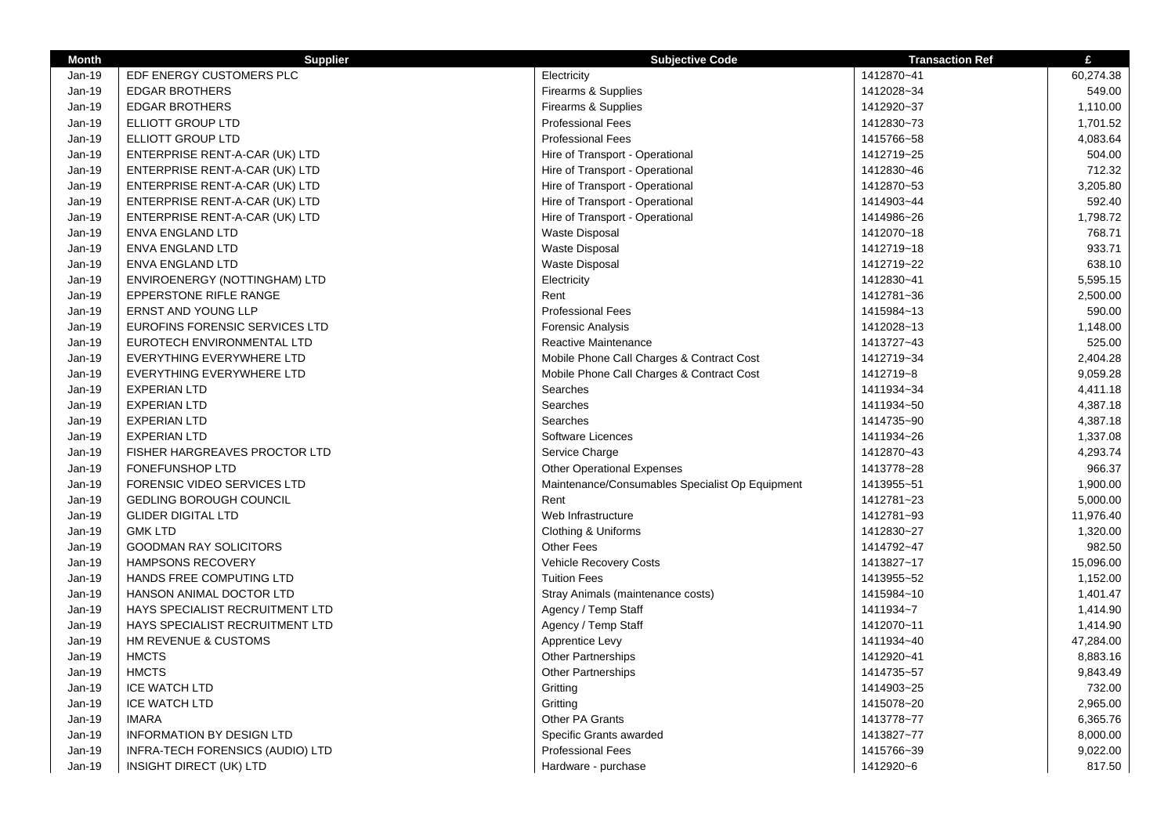| <b>Month</b> | <b>Supplier</b>                    | <b>Subjective Code</b>                          | <b>Transaction Ref</b> | £         |
|--------------|------------------------------------|-------------------------------------------------|------------------------|-----------|
| Jan-19       | EDF ENERGY CUSTOMERS PLC           | Electricity                                     | 1412870~41             | 60,274.38 |
| $Jan-19$     | <b>EDGAR BROTHERS</b>              | Firearms & Supplies                             | 1412028~34             | 549.00    |
| $Jan-19$     | <b>EDGAR BROTHERS</b>              | Firearms & Supplies                             | 1412920~37             | 1,110.00  |
| Jan-19       | ELLIOTT GROUP LTD                  | <b>Professional Fees</b>                        | 1412830~73             | 1,701.52  |
| $Jan-19$     | ELLIOTT GROUP LTD                  | <b>Professional Fees</b>                        | 1415766~58             | 4,083.64  |
| $Jan-19$     | ENTERPRISE RENT-A-CAR (UK) LTD     | Hire of Transport - Operational                 | 1412719~25             | 504.00    |
| $Jan-19$     | ENTERPRISE RENT-A-CAR (UK) LTD     | Hire of Transport - Operational                 | 1412830~46             | 712.32    |
| $Jan-19$     | ENTERPRISE RENT-A-CAR (UK) LTD     | Hire of Transport - Operational                 | 1412870~53             | 3,205.80  |
| Jan-19       | ENTERPRISE RENT-A-CAR (UK) LTD     | Hire of Transport - Operational                 | 1414903~44             | 592.40    |
| $Jan-19$     | ENTERPRISE RENT-A-CAR (UK) LTD     | Hire of Transport - Operational                 | 1414986~26             | 1,798.72  |
| $Jan-19$     | <b>ENVA ENGLAND LTD</b>            | <b>Waste Disposal</b>                           | 1412070~18             | 768.71    |
| Jan-19       | <b>ENVA ENGLAND LTD</b>            | <b>Waste Disposal</b>                           | 1412719~18             | 933.71    |
| $Jan-19$     | <b>ENVA ENGLAND LTD</b>            | <b>Waste Disposal</b>                           | 1412719~22             | 638.10    |
| Jan-19       | ENVIROENERGY (NOTTINGHAM) LTD      | Electricity                                     | 1412830~41             | 5,595.15  |
| $Jan-19$     | <b>EPPERSTONE RIFLE RANGE</b>      | Rent                                            | 1412781~36             | 2,500.00  |
| Jan-19       | ERNST AND YOUNG LLP                | <b>Professional Fees</b>                        | 1415984~13             | 590.00    |
| $Jan-19$     | EUROFINS FORENSIC SERVICES LTD     | <b>Forensic Analysis</b>                        | 1412028~13             | 1,148.00  |
| Jan-19       | EUROTECH ENVIRONMENTAL LTD         | Reactive Maintenance                            | 1413727~43             | 525.00    |
| $Jan-19$     | <b>EVERYTHING EVERYWHERE LTD</b>   | Mobile Phone Call Charges & Contract Cost       | 1412719~34             | 2,404.28  |
| $Jan-19$     | EVERYTHING EVERYWHERE LTD          | Mobile Phone Call Charges & Contract Cost       | 1412719~8              | 9,059.28  |
| $Jan-19$     | <b>EXPERIAN LTD</b>                | Searches                                        | 1411934~34             | 4,411.18  |
| $Jan-19$     | <b>EXPERIAN LTD</b>                | Searches                                        | 1411934~50             | 4,387.18  |
| $Jan-19$     | <b>EXPERIAN LTD</b>                | Searches                                        | 1414735~90             | 4,387.18  |
| $Jan-19$     | <b>EXPERIAN LTD</b>                | Software Licences                               | 1411934~26             | 1,337.08  |
| $Jan-19$     | FISHER HARGREAVES PROCTOR LTD      | Service Charge                                  | 1412870~43             | 4,293.74  |
| $Jan-19$     | <b>FONEFUNSHOP LTD</b>             | <b>Other Operational Expenses</b>               | 1413778~28             | 966.37    |
| $Jan-19$     | <b>FORENSIC VIDEO SERVICES LTD</b> | Maintenance/Consumables Specialist Op Equipment | 1413955~51             | 1,900.00  |
| $Jan-19$     | <b>GEDLING BOROUGH COUNCIL</b>     | Rent                                            | 1412781~23             | 5,000.00  |
| $Jan-19$     | <b>GLIDER DIGITAL LTD</b>          | Web Infrastructure                              | 1412781~93             | 11,976.40 |
| $Jan-19$     | <b>GMK LTD</b>                     | Clothing & Uniforms                             | 1412830~27             | 1,320.00  |
| $Jan-19$     | <b>GOODMAN RAY SOLICITORS</b>      | Other Fees                                      | 1414792~47             | 982.50    |
| $Jan-19$     | HAMPSONS RECOVERY                  | Vehicle Recovery Costs                          | 1413827~17             | 15,096.00 |
| Jan-19       | HANDS FREE COMPUTING LTD           | <b>Tuition Fees</b>                             | 1413955~52             | 1,152.00  |
| $Jan-19$     | HANSON ANIMAL DOCTOR LTD           | Stray Animals (maintenance costs)               | 1415984~10             | 1,401.47  |
| $Jan-19$     | HAYS SPECIALIST RECRUITMENT LTD    | Agency / Temp Staff                             | 1411934~7              | 1,414.90  |
| $Jan-19$     | HAYS SPECIALIST RECRUITMENT LTD    | Agency / Temp Staff                             | 1412070~11             | 1,414.90  |
| $Jan-19$     | HM REVENUE & CUSTOMS               | Apprentice Levy                                 | 1411934~40             | 47,284.00 |
| $Jan-19$     | <b>HMCTS</b>                       | <b>Other Partnerships</b>                       | 1412920~41             | 8,883.16  |
| $Jan-19$     | <b>HMCTS</b>                       | <b>Other Partnerships</b>                       | 1414735~57             | 9,843.49  |
| $Jan-19$     | <b>ICE WATCH LTD</b>               | Gritting                                        | 1414903~25             | 732.00    |
| Jan-19       | <b>ICE WATCH LTD</b>               | Gritting                                        | 1415078~20             | 2,965.00  |
| $Jan-19$     | <b>IMARA</b>                       | Other PA Grants                                 | 1413778~77             | 6,365.76  |
| $Jan-19$     | <b>INFORMATION BY DESIGN LTD</b>   | Specific Grants awarded                         | 1413827~77             | 8,000.00  |
| $Jan-19$     | INFRA-TECH FORENSICS (AUDIO) LTD   | <b>Professional Fees</b>                        | 1415766~39             | 9,022.00  |
| $Jan-19$     | INSIGHT DIRECT (UK) LTD            | Hardware - purchase                             | 1412920~6              | 817.50    |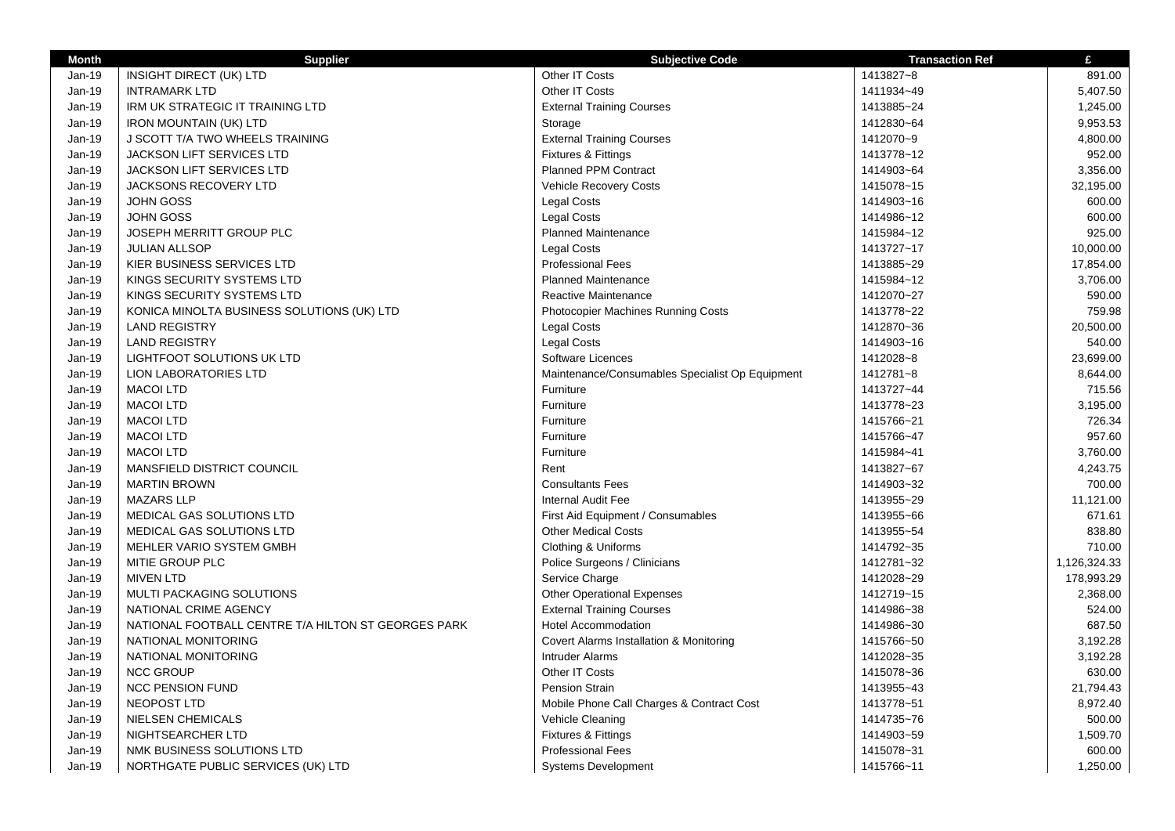| <b>Month</b>  | <b>Supplier</b>                                     | <b>Subjective Code</b>                          | <b>Transaction Ref</b> | £            |
|---------------|-----------------------------------------------------|-------------------------------------------------|------------------------|--------------|
| Jan-19        | INSIGHT DIRECT (UK) LTD                             | Other IT Costs                                  | 1413827~8              | 891.00       |
| Jan-19        | <b>INTRAMARK LTD</b>                                | Other IT Costs                                  | 1411934~49             | 5,407.50     |
| <b>Jan-19</b> | IRM UK STRATEGIC IT TRAINING LTD                    | <b>External Training Courses</b>                | 1413885~24             | 1,245.00     |
| Jan-19        | <b>IRON MOUNTAIN (UK) LTD</b>                       | Storage                                         | 1412830~64             | 9,953.53     |
| Jan-19        | J SCOTT T/A TWO WHEELS TRAINING                     | <b>External Training Courses</b>                | 1412070~9              | 4,800.00     |
| Jan-19        | <b>JACKSON LIFT SERVICES LTD</b>                    | Fixtures & Fittings                             | 1413778~12             | 952.00       |
| Jan-19        | <b>JACKSON LIFT SERVICES LTD</b>                    | <b>Planned PPM Contract</b>                     | 1414903~64             | 3,356.00     |
| Jan-19        | <b>JACKSONS RECOVERY LTD</b>                        | <b>Vehicle Recovery Costs</b>                   | 1415078~15             | 32,195.00    |
| <b>Jan-19</b> | <b>JOHN GOSS</b>                                    | <b>Legal Costs</b>                              | 1414903~16             | 600.00       |
| Jan-19        | <b>JOHN GOSS</b>                                    | <b>Legal Costs</b>                              | 1414986~12             | 600.00       |
| Jan-19        | JOSEPH MERRITT GROUP PLC                            | Planned Maintenance                             | 1415984~12             | 925.00       |
| <b>Jan-19</b> | <b>JULIAN ALLSOP</b>                                | <b>Legal Costs</b>                              | 1413727~17             | 10,000.00    |
| Jan-19        | KIER BUSINESS SERVICES LTD                          | <b>Professional Fees</b>                        | 1413885~29             | 17,854.00    |
| Jan-19        | KINGS SECURITY SYSTEMS LTD                          | <b>Planned Maintenance</b>                      | 1415984~12             | 3,706.00     |
| Jan-19        | KINGS SECURITY SYSTEMS LTD                          | Reactive Maintenance                            | 1412070~27             | 590.00       |
| <b>Jan-19</b> | KONICA MINOLTA BUSINESS SOLUTIONS (UK) LTD          | Photocopier Machines Running Costs              | 1413778~22             | 759.98       |
| Jan-19        | <b>LAND REGISTRY</b>                                | <b>Legal Costs</b>                              | 1412870~36             | 20,500.00    |
| Jan-19        | <b>LAND REGISTRY</b>                                | <b>Legal Costs</b>                              | 1414903~16             | 540.00       |
| Jan-19        | LIGHTFOOT SOLUTIONS UK LTD                          | Software Licences                               | 1412028~8              | 23,699.00    |
| Jan-19        | <b>LION LABORATORIES LTD</b>                        | Maintenance/Consumables Specialist Op Equipment | 1412781~8              | 8,644.00     |
| Jan-19        | <b>MACOI LTD</b>                                    | Furniture                                       | 1413727~44             | 715.56       |
| Jan-19        | <b>MACOI LTD</b>                                    | Furniture                                       | 1413778~23             | 3,195.00     |
| Jan-19        | <b>MACOI LTD</b>                                    | Furniture                                       | 1415766~21             | 726.34       |
| Jan-19        | <b>MACOI LTD</b>                                    | Furniture                                       | 1415766~47             | 957.60       |
|               |                                                     |                                                 |                        |              |
| Jan-19        | <b>MACOI LTD</b>                                    | Furniture                                       | 1415984~41             | 3,760.00     |
| Jan-19        | MANSFIELD DISTRICT COUNCIL                          | Rent                                            | 1413827~67             | 4,243.75     |
| Jan-19        | <b>MARTIN BROWN</b>                                 | <b>Consultants Fees</b>                         | 1414903~32             | 700.00       |
| Jan-19        | <b>MAZARS LLP</b>                                   | <b>Internal Audit Fee</b>                       | 1413955~29             | 11,121.00    |
| Jan-19        | MEDICAL GAS SOLUTIONS LTD                           | First Aid Equipment / Consumables               | 1413955~66             | 671.61       |
| Jan-19        | MEDICAL GAS SOLUTIONS LTD                           | <b>Other Medical Costs</b>                      | 1413955~54             | 838.80       |
| Jan-19        | MEHLER VARIO SYSTEM GMBH                            | Clothing & Uniforms                             | 1414792~35             | 710.00       |
| Jan-19        | MITIE GROUP PLC                                     | Police Surgeons / Clinicians                    | 1412781~32             | 1,126,324.33 |
| Jan-19        | <b>MIVEN LTD</b>                                    | Service Charge                                  | 1412028~29             | 178,993.29   |
| Jan-19        | MULTI PACKAGING SOLUTIONS                           | <b>Other Operational Expenses</b>               | 1412719~15             | 2,368.00     |
| Jan-19        | NATIONAL CRIME AGENCY                               | <b>External Training Courses</b>                | 1414986~38             | 524.00       |
| Jan-19        | NATIONAL FOOTBALL CENTRE T/A HILTON ST GEORGES PARK | <b>Hotel Accommodation</b>                      | 1414986~30             | 687.50       |
| Jan-19        | NATIONAL MONITORING                                 | Covert Alarms Installation & Monitoring         | 1415766~50             | 3,192.28     |
| Jan-19        | NATIONAL MONITORING                                 | <b>Intruder Alarms</b>                          | 1412028~35             | 3,192.28     |
| Jan-19        | <b>NCC GROUP</b>                                    | Other IT Costs                                  | 1415078~36             | 630.00       |
| Jan-19        | <b>NCC PENSION FUND</b>                             | Pension Strain                                  | 1413955~43             | 21,794.43    |
| Jan-19        | NEOPOST LTD                                         | Mobile Phone Call Charges & Contract Cost       | 1413778~51             | 8,972.40     |
| Jan-19        | <b>NIELSEN CHEMICALS</b>                            | Vehicle Cleaning                                | 1414735~76             | 500.00       |
| Jan-19        | NIGHTSEARCHER LTD                                   | <b>Fixtures &amp; Fittings</b>                  | 1414903~59             | 1,509.70     |
| Jan-19        | NMK BUSINESS SOLUTIONS LTD                          | <b>Professional Fees</b>                        | 1415078~31             | 600.00       |
| Jan-19        | NORTHGATE PUBLIC SERVICES (UK) LTD                  | <b>Systems Development</b>                      | 1415766~11             | 1,250.00     |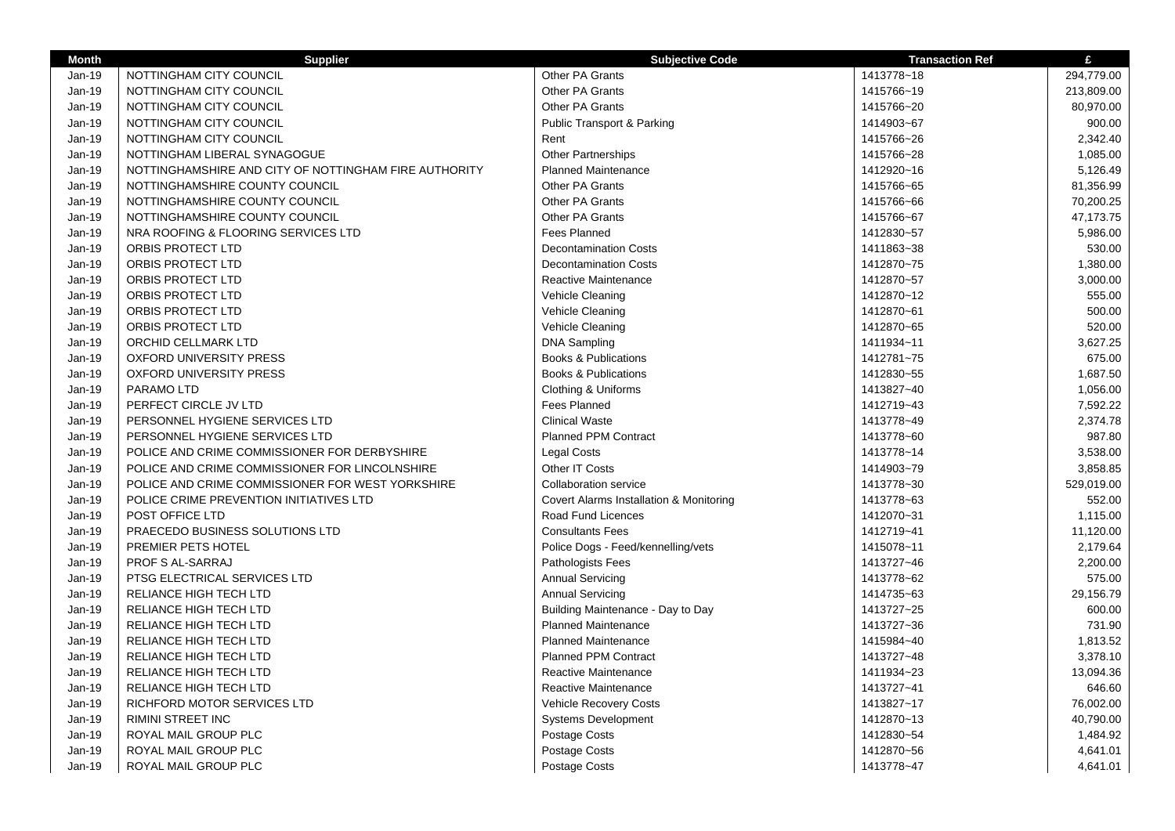| <b>Month</b> | <b>Supplier</b>                                       | <b>Subjective Code</b>                  | <b>Transaction Ref</b> | £          |
|--------------|-------------------------------------------------------|-----------------------------------------|------------------------|------------|
| Jan-19       | NOTTINGHAM CITY COUNCIL                               | Other PA Grants                         | 1413778~18             | 294,779.00 |
| Jan-19       | NOTTINGHAM CITY COUNCIL                               | Other PA Grants                         | 1415766~19             | 213,809.00 |
| Jan-19       | NOTTINGHAM CITY COUNCIL                               | Other PA Grants                         | 1415766~20             | 80,970.00  |
| Jan-19       | NOTTINGHAM CITY COUNCIL                               | Public Transport & Parking              | 1414903~67             | 900.00     |
| Jan-19       | NOTTINGHAM CITY COUNCIL                               | Rent                                    | 1415766~26             | 2,342.40   |
| Jan-19       | NOTTINGHAM LIBERAL SYNAGOGUE                          | <b>Other Partnerships</b>               | 1415766~28             | 1,085.00   |
| Jan-19       | NOTTINGHAMSHIRE AND CITY OF NOTTINGHAM FIRE AUTHORITY | Planned Maintenance                     | 1412920~16             | 5,126.49   |
| Jan-19       | NOTTINGHAMSHIRE COUNTY COUNCIL                        | Other PA Grants                         | 1415766~65             | 81,356.99  |
| Jan-19       | NOTTINGHAMSHIRE COUNTY COUNCIL                        | Other PA Grants                         | 1415766~66             | 70,200.25  |
| Jan-19       | NOTTINGHAMSHIRE COUNTY COUNCIL                        | Other PA Grants                         | 1415766~67             | 47,173.75  |
| Jan-19       | NRA ROOFING & FLOORING SERVICES LTD                   | <b>Fees Planned</b>                     | 1412830~57             | 5,986.00   |
| Jan-19       | ORBIS PROTECT LTD                                     | <b>Decontamination Costs</b>            | 1411863~38             | 530.00     |
| Jan-19       | ORBIS PROTECT LTD                                     | <b>Decontamination Costs</b>            | 1412870~75             | 1,380.00   |
| Jan-19       | ORBIS PROTECT LTD                                     | Reactive Maintenance                    | 1412870~57             | 3,000.00   |
| Jan-19       | ORBIS PROTECT LTD                                     | Vehicle Cleaning                        | 1412870~12             | 555.00     |
| Jan-19       | <b>ORBIS PROTECT LTD</b>                              | Vehicle Cleaning                        | 1412870~61             | 500.00     |
| Jan-19       | ORBIS PROTECT LTD                                     | Vehicle Cleaning                        | 1412870~65             | 520.00     |
| Jan-19       | ORCHID CELLMARK LTD                                   | <b>DNA Sampling</b>                     | 1411934~11             | 3,627.25   |
| Jan-19       | <b>OXFORD UNIVERSITY PRESS</b>                        | <b>Books &amp; Publications</b>         | 1412781~75             | 675.00     |
| Jan-19       | <b>OXFORD UNIVERSITY PRESS</b>                        | <b>Books &amp; Publications</b>         | 1412830~55             | 1,687.50   |
| Jan-19       | PARAMO LTD                                            | Clothing & Uniforms                     | 1413827~40             | 1,056.00   |
| Jan-19       | PERFECT CIRCLE JV LTD                                 | <b>Fees Planned</b>                     | 1412719~43             | 7,592.22   |
| Jan-19       | PERSONNEL HYGIENE SERVICES LTD                        | <b>Clinical Waste</b>                   | 1413778~49             | 2,374.78   |
| Jan-19       | PERSONNEL HYGIENE SERVICES LTD                        | <b>Planned PPM Contract</b>             | 1413778~60             | 987.80     |
| Jan-19       | POLICE AND CRIME COMMISSIONER FOR DERBYSHIRE          | <b>Legal Costs</b>                      | 1413778~14             | 3,538.00   |
| Jan-19       | POLICE AND CRIME COMMISSIONER FOR LINCOLNSHIRE        | Other IT Costs                          | 1414903~79             | 3,858.85   |
| Jan-19       | POLICE AND CRIME COMMISSIONER FOR WEST YORKSHIRE      | <b>Collaboration service</b>            | 1413778~30             | 529,019.00 |
| Jan-19       | POLICE CRIME PREVENTION INITIATIVES LTD               | Covert Alarms Installation & Monitoring | 1413778~63             | 552.00     |
| Jan-19       | POST OFFICE LTD                                       | Road Fund Licences                      | 1412070~31             | 1,115.00   |
| Jan-19       | PRAECEDO BUSINESS SOLUTIONS LTD                       | <b>Consultants Fees</b>                 | 1412719~41             | 11,120.00  |
| Jan-19       | PREMIER PETS HOTEL                                    | Police Dogs - Feed/kennelling/vets      | 1415078~11             | 2,179.64   |
| Jan-19       | <b>PROF S AL-SARRAJ</b>                               | Pathologists Fees                       | 1413727~46             | 2,200.00   |
| Jan-19       | PTSG ELECTRICAL SERVICES LTD                          | <b>Annual Servicing</b>                 | 1413778~62             | 575.00     |
| Jan-19       | RELIANCE HIGH TECH LTD                                | <b>Annual Servicing</b>                 | 1414735~63             | 29,156.79  |
| Jan-19       | RELIANCE HIGH TECH LTD                                | Building Maintenance - Day to Day       | 1413727~25             | 600.00     |
| Jan-19       | RELIANCE HIGH TECH LTD                                | <b>Planned Maintenance</b>              | 1413727~36             | 731.90     |
| Jan-19       | RELIANCE HIGH TECH LTD                                | <b>Planned Maintenance</b>              | 1415984~40             | 1,813.52   |
| Jan-19       | RELIANCE HIGH TECH LTD                                | <b>Planned PPM Contract</b>             | 1413727~48             | 3,378.10   |
| Jan-19       | RELIANCE HIGH TECH LTD                                | Reactive Maintenance                    | 1411934~23             | 13,094.36  |
| $Jan-19$     | RELIANCE HIGH TECH LTD                                | <b>Reactive Maintenance</b>             | 1413727~41             | 646.60     |
| Jan-19       | RICHFORD MOTOR SERVICES LTD                           | <b>Vehicle Recovery Costs</b>           | 1413827~17             | 76,002.00  |
| Jan-19       | <b>RIMINI STREET INC</b>                              | <b>Systems Development</b>              | 1412870~13             | 40,790.00  |
| Jan-19       | ROYAL MAIL GROUP PLC                                  | Postage Costs                           | 1412830~54             | 1,484.92   |
| Jan-19       | ROYAL MAIL GROUP PLC                                  | Postage Costs                           | 1412870~56             | 4,641.01   |
| Jan-19       | ROYAL MAIL GROUP PLC                                  | Postage Costs                           | 1413778~47             | 4,641.01   |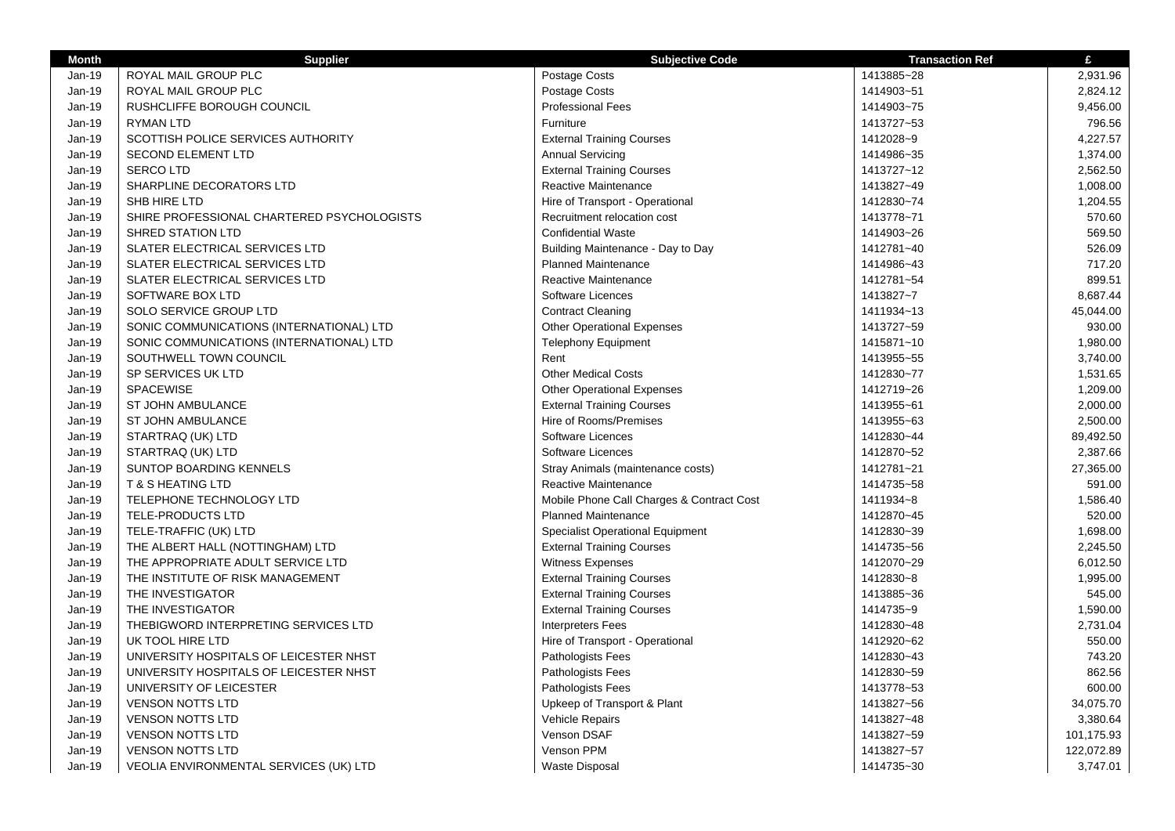| <b>Month</b>  | <b>Supplier</b>                            | <b>Subjective Code</b>                    | <b>Transaction Ref</b> | £          |
|---------------|--------------------------------------------|-------------------------------------------|------------------------|------------|
| Jan-19        | ROYAL MAIL GROUP PLC                       | Postage Costs                             | 1413885~28             | 2,931.96   |
| Jan-19        | ROYAL MAIL GROUP PLC                       | Postage Costs                             | 1414903~51             | 2,824.12   |
| Jan-19        | RUSHCLIFFE BOROUGH COUNCIL                 | <b>Professional Fees</b>                  | 1414903~75             | 9,456.00   |
| Jan-19        | <b>RYMAN LTD</b>                           | Furniture                                 | 1413727~53             | 796.56     |
| $Jan-19$      | SCOTTISH POLICE SERVICES AUTHORITY         | <b>External Training Courses</b>          | 1412028~9              | 4,227.57   |
| Jan-19        | <b>SECOND ELEMENT LTD</b>                  | <b>Annual Servicing</b>                   | 1414986~35             | 1,374.00   |
| Jan-19        | <b>SERCOLTD</b>                            | <b>External Training Courses</b>          | 1413727~12             | 2,562.50   |
| Jan-19        | SHARPLINE DECORATORS LTD                   | Reactive Maintenance                      | 1413827~49             | 1,008.00   |
| <b>Jan-19</b> | SHB HIRE LTD                               | Hire of Transport - Operational           | 1412830~74             | 1,204.55   |
| Jan-19        | SHIRE PROFESSIONAL CHARTERED PSYCHOLOGISTS | Recruitment relocation cost               | 1413778~71             | 570.60     |
| Jan-19        | <b>SHRED STATION LTD</b>                   | <b>Confidential Waste</b>                 | 1414903~26             | 569.50     |
| Jan-19        | SLATER ELECTRICAL SERVICES LTD             | Building Maintenance - Day to Day         | 1412781~40             | 526.09     |
| $Jan-19$      | SLATER ELECTRICAL SERVICES LTD             | <b>Planned Maintenance</b>                | 1414986~43             | 717.20     |
| Jan-19        | SLATER ELECTRICAL SERVICES LTD             | Reactive Maintenance                      | 1412781~54             | 899.51     |
| $Jan-19$      | SOFTWARE BOX LTD                           | Software Licences                         | 1413827~7              | 8,687.44   |
| Jan-19        | SOLO SERVICE GROUP LTD                     | <b>Contract Cleaning</b>                  | 1411934~13             | 45,044.00  |
| Jan-19        | SONIC COMMUNICATIONS (INTERNATIONAL) LTD   | <b>Other Operational Expenses</b>         | 1413727~59             | 930.00     |
| Jan-19        | SONIC COMMUNICATIONS (INTERNATIONAL) LTD   | <b>Telephony Equipment</b>                | 1415871~10             | 1,980.00   |
| Jan-19        | SOUTHWELL TOWN COUNCIL                     | Rent                                      | 1413955~55             | 3,740.00   |
| Jan-19        | SP SERVICES UK LTD                         | <b>Other Medical Costs</b>                | 1412830~77             | 1,531.65   |
| $Jan-19$      | <b>SPACEWISE</b>                           | <b>Other Operational Expenses</b>         | 1412719~26             | 1,209.00   |
| Jan-19        | ST JOHN AMBULANCE                          | <b>External Training Courses</b>          | 1413955~61             | 2,000.00   |
| $Jan-19$      | ST JOHN AMBULANCE                          | Hire of Rooms/Premises                    | 1413955~63             | 2,500.00   |
| Jan-19        | STARTRAQ (UK) LTD                          | Software Licences                         | 1412830~44             | 89,492.50  |
| Jan-19        | STARTRAQ (UK) LTD                          | Software Licences                         | 1412870~52             | 2,387.66   |
| Jan-19        | SUNTOP BOARDING KENNELS                    | Stray Animals (maintenance costs)         | 1412781~21             | 27,365.00  |
| Jan-19        | <b>T &amp; S HEATING LTD</b>               | Reactive Maintenance                      | 1414735~58             | 591.00     |
| Jan-19        | TELEPHONE TECHNOLOGY LTD                   | Mobile Phone Call Charges & Contract Cost | 1411934~8              | 1,586.40   |
| Jan-19        | TELE-PRODUCTS LTD                          | <b>Planned Maintenance</b>                | 1412870~45             | 520.00     |
| Jan-19        | TELE-TRAFFIC (UK) LTD                      | <b>Specialist Operational Equipment</b>   | 1412830~39             | 1,698.00   |
| Jan-19        | THE ALBERT HALL (NOTTINGHAM) LTD           | <b>External Training Courses</b>          | 1414735~56             | 2,245.50   |
| $Jan-19$      | THE APPROPRIATE ADULT SERVICE LTD          | <b>Witness Expenses</b>                   | 1412070~29             | 6,012.50   |
| Jan-19        | THE INSTITUTE OF RISK MANAGEMENT           | <b>External Training Courses</b>          | 1412830~8              | 1,995.00   |
| Jan-19        | THE INVESTIGATOR                           | <b>External Training Courses</b>          | 1413885~36             | 545.00     |
| Jan-19        | THE INVESTIGATOR                           | <b>External Training Courses</b>          | 1414735~9              | 1,590.00   |
| Jan-19        | THEBIGWORD INTERPRETING SERVICES LTD       | <b>Interpreters Fees</b>                  | 1412830~48             | 2,731.04   |
| Jan-19        | UK TOOL HIRE LTD                           | Hire of Transport - Operational           | 1412920~62             | 550.00     |
| Jan-19        | UNIVERSITY HOSPITALS OF LEICESTER NHST     | Pathologists Fees                         | 1412830~43             | 743.20     |
| Jan-19        | UNIVERSITY HOSPITALS OF LEICESTER NHST     | Pathologists Fees                         | 1412830~59             | 862.56     |
| $Jan-19$      | UNIVERSITY OF LEICESTER                    | Pathologists Fees                         | 1413778~53             | 600.00     |
| Jan-19        | <b>VENSON NOTTS LTD</b>                    | Upkeep of Transport & Plant               | 1413827~56             | 34,075.70  |
| Jan-19        | <b>VENSON NOTTS LTD</b>                    | <b>Vehicle Repairs</b>                    | 1413827~48             | 3,380.64   |
| Jan-19        | <b>VENSON NOTTS LTD</b>                    | Venson DSAF                               | 1413827~59             | 101,175.93 |
| Jan-19        | <b>VENSON NOTTS LTD</b>                    | Venson PPM                                | 1413827~57             | 122,072.89 |
| Jan-19        | VEOLIA ENVIRONMENTAL SERVICES (UK) LTD     | <b>Waste Disposal</b>                     | 1414735~30             | 3,747.01   |